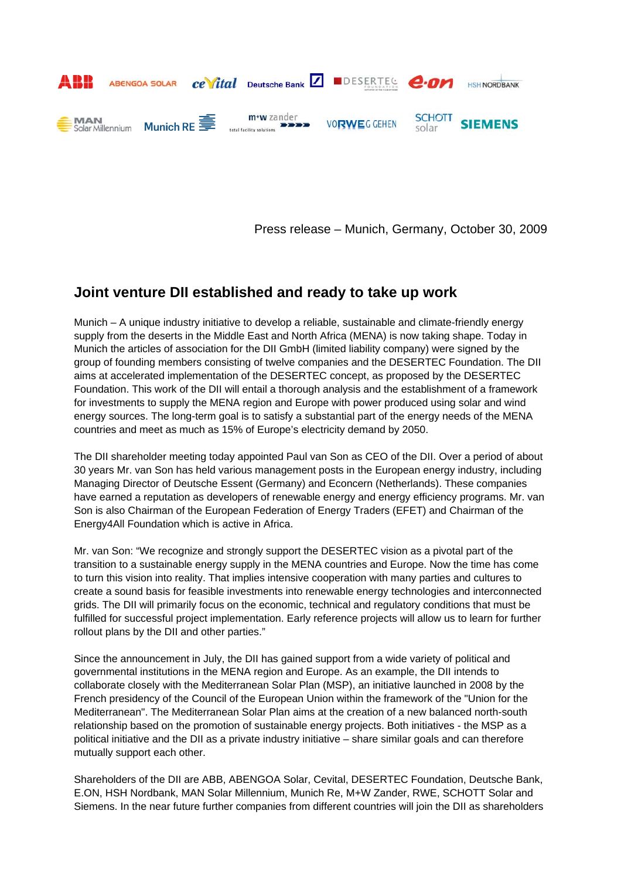

Press release – Munich, Germany, October 30, 2009

## **Joint venture DII established and ready to take up work**

Munich – A unique industry initiative to develop a reliable, sustainable and climate-friendly energy supply from the deserts in the Middle East and North Africa (MENA) is now taking shape. Today in Munich the articles of association for the DII GmbH (limited liability company) were signed by the group of founding members consisting of twelve companies and the DESERTEC Foundation. The DII aims at accelerated implementation of the DESERTEC concept, as proposed by the DESERTEC Foundation. This work of the DII will entail a thorough analysis and the establishment of a framework for investments to supply the MENA region and Europe with power produced using solar and wind energy sources. The long-term goal is to satisfy a substantial part of the energy needs of the MENA countries and meet as much as 15% of Europe's electricity demand by 2050.

The DII shareholder meeting today appointed Paul van Son as CEO of the DII. Over a period of about 30 years Mr. van Son has held various management posts in the European energy industry, including Managing Director of Deutsche Essent (Germany) and Econcern (Netherlands). These companies have earned a reputation as developers of renewable energy and energy efficiency programs. Mr. van Son is also Chairman of the European Federation of Energy Traders (EFET) and Chairman of the Energy4All Foundation which is active in Africa.

Mr. van Son: "We recognize and strongly support the DESERTEC vision as a pivotal part of the transition to a sustainable energy supply in the MENA countries and Europe. Now the time has come to turn this vision into reality. That implies intensive cooperation with many parties and cultures to create a sound basis for feasible investments into renewable energy technologies and interconnected grids. The DII will primarily focus on the economic, technical and regulatory conditions that must be fulfilled for successful project implementation. Early reference projects will allow us to learn for further rollout plans by the DII and other parties."

Since the announcement in July, the DII has gained support from a wide variety of political and governmental institutions in the MENA region and Europe. As an example, the DII intends to collaborate closely with the Mediterranean Solar Plan (MSP), an initiative launched in 2008 by the French presidency of the Council of the European Union within the framework of the "Union for the Mediterranean". The Mediterranean Solar Plan aims at the creation of a new balanced north-south relationship based on the promotion of sustainable energy projects. Both initiatives - the MSP as a political initiative and the DII as a private industry initiative – share similar goals and can therefore mutually support each other.

Shareholders of the DII are ABB, ABENGOA Solar, Cevital, DESERTEC Foundation, Deutsche Bank, E.ON, HSH Nordbank, MAN Solar Millennium, Munich Re, M+W Zander, RWE, SCHOTT Solar and Siemens. In the near future further companies from different countries will join the DII as shareholders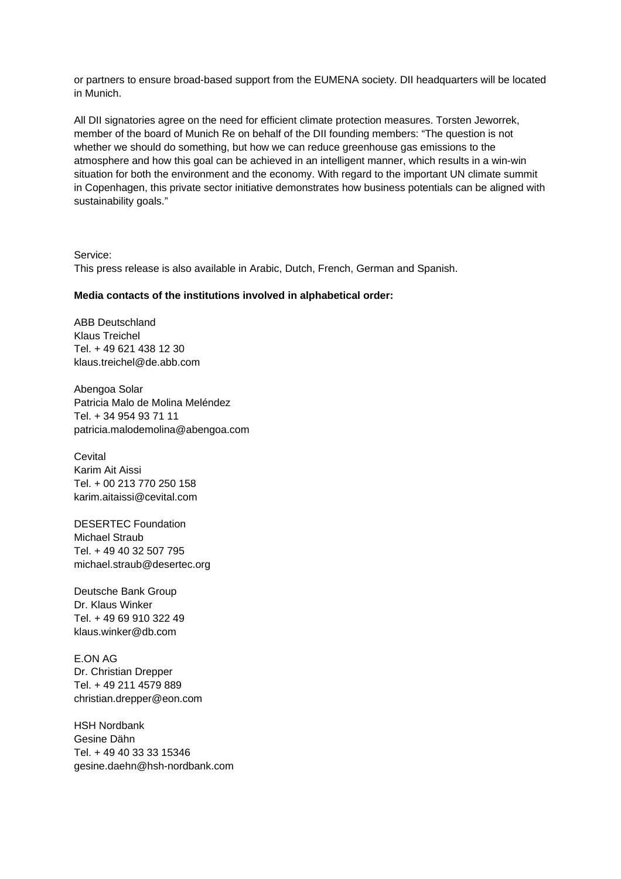or partners to ensure broad-based support from the EUMENA society. DII headquarters will be located in Munich.

All DII signatories agree on the need for efficient climate protection measures. Torsten Jeworrek, member of the board of Munich Re on behalf of the DII founding members: "The question is not whether we should do something, but how we can reduce greenhouse gas emissions to the atmosphere and how this goal can be achieved in an intelligent manner, which results in a win-win situation for both the environment and the economy. With regard to the important UN climate summit in Copenhagen, this private sector initiative demonstrates how business potentials can be aligned with sustainability goals."

Service: This press release is also available in Arabic, Dutch, French, German and Spanish.

## **Media contacts of the institutions involved in alphabetical order:**

ABB Deutschland Klaus Treichel Tel. + 49 621 438 12 30 klaus.treichel@de.abb.com

Abengoa Solar Patricia Malo de Molina Meléndez Tel. + 34 954 93 71 11 patricia.malodemolina@abengoa.com

**Cevital** Karim Ait Aissi Tel. + 00 213 770 250 158 karim.aitaissi@cevital.com

DESERTEC Foundation Michael Straub Tel. + 49 40 32 507 795 michael.straub@desertec.org

Deutsche Bank Group Dr. Klaus Winker Tel. + 49 69 910 322 49 klaus.winker@db.com

E.ON AG Dr. Christian Drepper Tel. + 49 211 4579 889 christian.drepper@eon.com

HSH Nordbank Gesine Dähn Tel. + 49 40 33 33 15346 gesine.daehn@hsh-nordbank.com